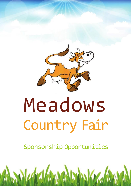

# Country Fair

Sponsorship Opportunities

M

**SANKER**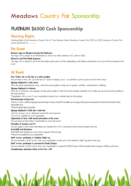# **PLATINUM \$6500 Cash Sponsorship**

## **Naming Rights**

Naming Rights of the Meadows Country Fair. Ie "Your Business Name"Meadows Country Fair 2022 or 2022 Meadows Country Fair proud sponsored by ……….

## **Pre Event**

## **Business Logo on Meadows Country Fair Stationery**

Your logo will be placed on all letterheads as well as any other stationery MCF prints in 2022

#### **Electronic and Print Media Exposure**

Your logo will be placed in all of the information pads sent to all the stakeholders, stall holders, entertainers etc as part of the branding for the event

## **At Event**

#### **Free 12x6m site on the day in a prime position**

You can have a free site up to the size of 12x6m to display goods/ run activities in prime space near the Main Arena

#### **Signage displayed in main arena**

This is the prime entertainment area, where the crowds gather to take part in games/ activities/ entertainment- Uddertug

## **Signage displayed at entrance**

There are 2 entrances- your signagewill get prime position in both.If you have anyother materials/ cars/ trailers etc you can have prime position at the main entrances

\*Negotiationwill be made if your organisation already has a suitable sign for this position

#### **Permanent sign on footy oval**

There is a 12mm x.600mm signage permanent sign on footy oval, MCF committee can arrange, at the sponsors expense, for the skin for the duration of the sponsorship year.

\*Need to supply high res graphics

## **Signage displayed in field day+ main oval**

Unlimited signage can be displayed around the event grounds

\*Need to be supplied by your organisation

#### **Opportunity to have walk around promotions at the event**

You can hand out information/merchandise or survey the growd

## **Promotion of business over PA**

You can supply a short script advertising your business that will be announced various times throughout the day

## **Event Staff and Volunteers**

Event Staff and volunteer can wear a hat or apparel with your logo \*Need to be supplied by your organisation

## **Staff member participate in Celebrity Udder Tug**

You can nominate a staff member from your organisation to take part in the celebrity Udder Tug, held on the day.

## **Staff member participate in presents the Charity Cheque**

You can nominate a staff member from your organisation to present the 2022 Charity with the donation, held at approx 3:30pm on the day **Complimentary admission tickets to the Fair- x20**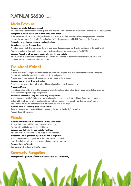# **PLATINUM \$6500** continued

## **Media Exposure**

#### **Business promoted in Radio advertisement**

MCF has a radio advertisement campaign and your company will be mentioned in this advert. Specifications will be negotiated. **Recognition in media release sent to third party media outlets**

A media release will be written with your business induded- this will then be given to local newspapers and magazines (such as The Weekender, The Courier, The Advertiser, The Southern Argus, Adelaide Hills Magazine, The Times etc.)

## **Recognition in print press/ electronic media advertising**

## **Advertisement on our Facebook Page**

A written advert- induding pictures can be promoted on our Facebook page for 4 months leading up to the 2022 event And for a period of time until the next years Fair begins its planning commences in April 2023

## **Business Plugged on all our social media with links to your website**

Your business will be linked to Facebook and our website, you will need to provide your businesses link to either your Facebook, twitter or website or all of the above

## **Promotional Material**

#### **Program**

A large advert can be displayed in the Meadows Country Fair Program that is available for free at the entry gate

\* Advert will need to be provided in JPEG format, horizontal preferable

A large logo of your business will appear on the front page of the program

## **Business Logo on event flyers and posters**

A large logo of your business will be placed in prominent place on all flyers and posters

#### **Promotional Prizes**

Promotional prizes will be given out for kids games and activities, these prizes will continually be announced when presented \* Will need to be supplied by your organisation

## **Promotional material in Daisy Trail show bag by negotiation**

Your business can provide 250 items of merchandise to be induded in the daisy trail bags. Daisy trail bags are a yellow brick road' for the fair which has set stalls that are included in the route. If your business doesn't have a stall you can provide the merchandise that will still be induded in the bags.

## **Business name of Uddertug cows saddle blanket**

These blankets are used on the Uddertug cows during the famous 'Udder Tug' competition \*Supplied by MCF committee

## **Website**

## **Business advert listed on the Meadows Country Fair website**

A large sized advert will be placed on the sponsors page

\* Advert will need to be provided in JPEG format

## **Business logo that links to your website- Front Page**

Your logo on the MCF website will be linked to your webpage

## **Association with a particular aspect of the fair, if requested**

Your business name will be promoted in the program with a particular

part of the Fair you choose on the webpage in that particular program

## **Business Listed on Website**

Your business will be listed on the MCF website

## **Community Recognition**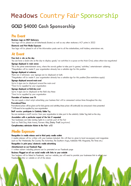# **GOLD \$4000 Cash Sponsorship**

## **Pre Event**

## **Business Logo on MCF Stationery**

Your logo will be placed on all letterheads (footer) as well as any other stationery MCF prints in 2022

## **Electronic and Print Media Exposure**

Your logo will be placed in all of the information packs sent to all the stakeholders, stall holders, entertainers etc.

## **At Event**

## **Free 6x6 m site on the day**

You can have a 6x6m site on the day to display goods/ run activities in a space on the Main Oval, unless otherwise negotiated

## **Signage displayed in main arena**

This is the prime entertainment area, where the crowds gather to take part in games/ activities/ entertainment- uddertug \*Negotiation will be made if your organisation already has a suitable sign for this position

## **Signage displayed at entrance**

There are 2 entrances- your signage can be displayed at both. \*Negotiation will be made if your organisation already has a suitable sign for this position (Size restrictions apply)

#### **Signage displayed around main oval**

Up to 6 signs can be displayed around the main oval \*Need to be supplied by your organisation

#### **Signage displayed on field day oval**

Up to 4 signs can be displayed at the field day these \*Need to be supplied by your organisation

#### **Promotion of business over PA**

You can supply a short script advertising your business that will be announced various times throughout the day

## **Promotional Prizes**

Promotional prizes will be given out for kids games and activities, these prizes will continually be announced when presented \* Will need to be supplied by your organisation

#### **Staff member participate in Celebrity Udder Tug**

You can nominate a staff member from your organisation to take part in the celebrity Udder Tug, held on the day.

## **Association with a particular aspect of the fair if requested**

Your businesses can take naming rights to a certain part of the fair Such as: Field Day, Main Arena, Farmers Alley, Daisy Trail (negotiated)

**Complimentary admission tickets to the Fair- x12**

## **Media Exposure**

#### **Recognition in media release sent to third party media outlets**

A media release will be written with your business included- this will then be given to local newspapers and magazines (such as TheWeekender, The Courier, The Advertiser, The Southern Argus, Adelaide Hills Magazine, The Times etc.)

## **Recognition in print press/ electronic media advertising**

#### **Advertisement on our Facebook Page**

A written advert- including pictures can be promoted on our Facebook page

## **Business Plugged on all our social media with links to your website**

Your business will be linked to Facebook, and our website, you will need to provide your businesses link to either your Facebook, twitter or website or all of the above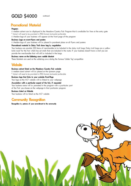# **GOLD \$4000** continued

## **Promotional Material**

## **Program**

A medium advert can be displayed in the Meadows Country Fair Program that is available for free at the entry gate \* Advert will need to be provided in JPEG format, horizontal preferable

A Medium logo of your business will appear on the front page of the program

## **Business Logo on event flyers and posters**

A Mediumlogo of your business will be placed in prominent place on all flyers and posters

## **Promotional material in Daisy Trail show bag by negotiation**

Your business can provide 250 items of merchandise to be induded in the daisy trail bags. Daisy trail bags are a yellow brick road' for the fair which has set stalls that are included in the route. If your business doesn't have a stall you can provide the merchandise that will still be included in the bags.

## **Business name on the Uddertug cows saddle blanket**

These blankets are used on the uddertug cows during the famous 'Udder Tug' competition

## **Website**

## **Business advert listed on the Meadows Country Fair website**

A medium sized advert will be placed on the sponsors page \* Advert will need to be provided in JPEG format, horizontal preferable

## **Business logo that links to your website- Front Page**

Your logo on the MCF website will be linked to your webpage

## **Association with a particular aspect of the fair, if requested**

Your business name will be promoted in the program with a particular part of the Fair you choose on the webpage in that particular program

## **Business Listed on Website**

Your business will be listed on the MCF website

## **Community Recognition**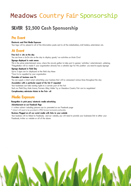# **SILVER \$2,500 Cash Sponsorship**

## **Pre Event**

## **Electronic and Print Media Exposure**

Your logo will be placed in all of the information packs sent to all the stakeholders, stall holders, entertainers etc.

## **At Event**

## **Free 6x3 m site on the day**

You can have a 6x3m site on the day to display goods/ run activities on Main Oval

## **Signage displayed in main arena**

This is the prime entertainment area, where the crowds gather to take part in games/ activities/ entertainment- uddertug \*Negotiation will be made if your organisation already has a suitable sign for this position- you need to supply signage

## **Signage displayed in Field Day**

Up to 5 signs can be displayed at the field day these \*Need to be supplied by your organisation

#### **Promotion of business over PA**

You can supply a short script advertising your business that will be announced various times throughout the day

#### **Association with a particular aspect of the fair if requested**

Your businesses can take naming rights to a certain part of the fair Such as: Field Day, Main Arena, Farmers Alley, Udder Tug or Meadows Country Fair can be negotiated

**Complimentary admission tickets to the Fair- x8**

## **Media Exposure**

## **Recognition in print press/ electronic media advertising**

#### **Advertisement on our Facebook Page**

A written advert- including pictures can be promoted on our Facebook page

\* Advert will need to be provided in JPEG format, horizontal preferable

## **Business Plugged on all our social media with links to your website**

Your business will be linked to Facebook, and our website, you will need to provide your businesses link to either your Facebook, twitter or website or all of the above

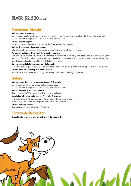# **SILVER \$2,500**continued

## **Promotional Material**

## **Business advert in program**

A small advert can be displayed in the Meadows Country Fair Program that is available for free at the entry gate \* Advert will need to be provided in JPEG format, horizontal preferable

#### **Business logo in program**

A small logo of your business will appear on the front page of the program

#### **Business Logo on event flyers and posters**

A Small logo of your business will be placed in prominent place on all flyers and posters

## **Promotional material in Daisy Trail show bag by negotiation**

Your business can provide 250 items of merchandise to be induded in the daisy trail bags. Daisy trail bags are a yellow brick road' for the fair which has set stalls that are included in the route. If your business doesn't have a stall you can provide the merchandise that will still be included in the bags.

## **Business voucher included in program-Local Business only**

Your business can supply a voucher/ Small advert to be included in the program to encourage people to visit your business

## **Business name of Uddertug cows saddle blanket**

These blankets are used on the uddertug cows during the famous 'Udder Tug'competition

## **Website**

## **Business advert listed on the Meadows Country Fair website**

A small sized advert will be placed on the sponsors page \* Advert will need to be provided in JPEG format, horizontal preferable

#### **Business logo that links to your website**

Your logo on the MCF website will be linked to your webpage

## **Association with a particular aspect of the fair, if requested**

Your business name will be promoted in the program with a particular part of the Fair you choose on the webpage in that particular program

## **Business Listed on Website**

Your business will be listed on the MCF website

## **Community Recognition**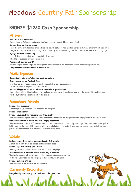# **BRONZE \$1250 Cash Sponsorship**

## **At Event**

## **Free 6x3 m site on the day**

You can have a 6x3m site on the day to display goods/ run activities on Main Oval

## **Signage displayed in main arena**

This is the prime entertainment area, where the crowds gather to take part in games/ activities/ entertainment- uddertug \*Negotiation will be made if your organisation already has a suitable sign for this position- you need to supply signage

## **Signage displayed in Field Day**

Up to 2 signs can be displayed at the field day these \*Need to be supplied by your organisation

## **Promotion of business over PA**

You can supply a short script advertising your business that will be announced various times throughout the day **Complimentary admission tickets to the Fair- x6**

## **Media Exposure**

## **Recognition in print press/ electronic media advertising**

#### **Advertisement on our Facebook Page**

A written advert- including pictures can be promoted on our Facebook page

\* Advert will need to be provided in JPEG format

## **Business Plugged on all our social media with links to your website**

Your business will be linked to Facebook, and our website, you will need to provide your businesses link to either your Facebook, twitter or website or all of the above

## **Promotional Material**

#### **Business logo in program**

A small logo of your business will appear in the program

**Business listed program**

#### **Business voucher included in program-Local Business only**

Your business can supply a voucher/ Small advert to be included in the program to encourage people to visit your business

#### **Promotional material in Daisy Trail show bag by negotiation**

Your business can provide 250 items of merchandise to be induded in the daisy trail bags. Daisy trail bags are a yellow brick road' for the fair which has set stalls that are included in the route. If your business doesn't have a stall you can provide the merchandise that will still be included in the bags.

## **Website**

#### **Business advert listed on the Meadows Country Fair website**

A small sized advert will be placed on the sponsors page

#### **Business logo that links to your website**

Your logo on the MCF website will be linked to your webpage

## **Association with a particular aspect of the fair, if requested**

Your business name will be promoted in the program with a particular part of the Fair you choose on the webpage in that particular program

## **Business Listed on Website**

Your business will be listed on the MCF website

## **Community Recognition**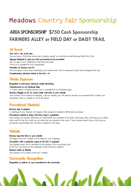# **AREA SPONSORSHIP \$750 Cash Sponsorship FARMERS ALLEY or FIELD DAY or DAISY TRAIL**

## **At Event**

#### **Free 3x3 m site on the day**

You can have a 3x3m site on the day to display goods/ run activities on the Battunga Field Day Oval **Signage displayed in area you wish your business to be associated** Up to 4 signs can be displayed at the field day these \*Need to be supplied by your organisation

#### **Promotion of business over PA**

You can supply a short script advertising your business that will be announced various times throughout the day

**Complimentary admission tickets to the Fair- x4**

## **Media Exposure**

#### **Recognition in print press/ electronic media advertising**

#### **Advertisement on our Facebook Page**

A written advert- including pictures can be promoted on our Facebook page

#### **Business Plugged on all our social media with links to your website**

Your business will be linked to Facebook, and our website, you will need to provide your businesses link to either your Facebook, twitter or website or all of the above

## **Promotional Material**

#### **Business logo in program**

A small logo of your business will appear in the programin conjuction with the area you choose

## **Promotional material in Daisy Trail show bag by negotiation**

Your business can provide 250 items of merchandise to be induded in the daisy trail bags. Daisy trail bags are a yellow brick road' for the fair which has set stalls that are included in the route. If your business doesn't have a stall you can provide the merchandise that will still be included in the bags.

## **Website**

#### **Business logo that links to your website**

Your logo on the MCF website will be linked to your webpage

#### **Association with a particular aspect of the fair, if requested**

Your business name will be promoted in the program with a particular part of the Fair you choose on the webpage in that particular program

## **Business Listed on Website**

Your business will be listed on the MCF website

## **Community Recognition**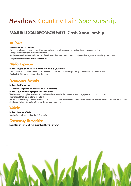# **MAJOR LOCAL SPONSOR \$500 Cash Sponsorship**

## **At Event**

## **Promotion of business over PA**

You can supply a short script advertising your business that will be announced various times throughout the day **Signage at each gate and around the grounds** Small signs at each entrance and a number of small signs to be place around the grounds (negotiable) (signs to be provide by the sponsor) **Complimentary admission tickets to the Fair- x2**

## **Media Exposure**

#### **Business Plugged on all our social media with links to your website**

Your business will be linked to Facebook, and our website, you will need to provide your businesses link to either your Facebook, twitter or website or all of the above

## **Promotional Material**

## **Business listed in program**

Will be llisted as major local sponsor - this will have its own subheading

## **Business voucher included in program-Local Business only**

Your business can supply a voucher/ Small advert to be included in the program to encourage people to visit your business **Promotional Material at Information Tent**

You will have the ability to provide business cards or flyers or other promotional material and this will be made available at the information tent (final details and further information will be provide as soon as we can)

## **Website**

**Business Listed on Website** Your business will be listed on the MCF website

## **Community Recognition**